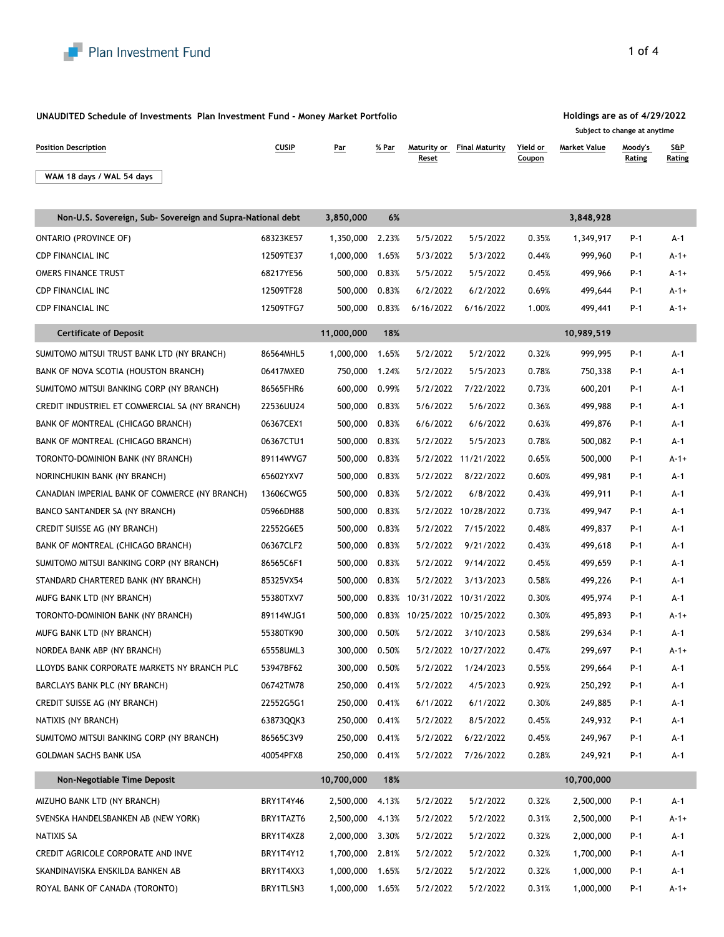

### **UNAUDITED Schedule of Investments Plan Investment Fund - Money Market Portfolio**

**Position Description CUSIP Par Maturity of** *Maturity of Article**Parameter Maturity of Article 1989 <b>Parameter* 

## **Holdings are as of 4/29/2022**

**Maturity or Final Maturity** Yield or

# **Subject to change at anytime**

**Market Value Moody's** 

|                                                            |           |                 |       | <u>Reset</u>                |                       | <u>Coupon</u> |            | <u>Rating</u> | <u>Rating</u> |
|------------------------------------------------------------|-----------|-----------------|-------|-----------------------------|-----------------------|---------------|------------|---------------|---------------|
| WAM 18 days / WAL 54 days                                  |           |                 |       |                             |                       |               |            |               |               |
|                                                            |           |                 |       |                             |                       |               |            |               |               |
| Non-U.S. Sovereign, Sub- Sovereign and Supra-National debt |           | 3,850,000       | 6%    |                             |                       |               | 3,848,928  |               |               |
| <b>ONTARIO (PROVINCE OF)</b>                               | 68323KE57 | 1,350,000       | 2.23% | 5/5/2022                    | 5/5/2022              | 0.35%         | 1,349,917  | P-1           | $A-1$         |
| <b>CDP FINANCIAL INC</b>                                   | 12509TE37 | 1,000,000       | 1.65% | 5/3/2022                    | 5/3/2022              | 0.44%         | 999,960    | P-1           | $A-1+$        |
| OMERS FINANCE TRUST                                        | 68217YE56 | 500,000         | 0.83% | 5/5/2022                    | 5/5/2022              | 0.45%         | 499,966    | P-1           | $A - 1 +$     |
| <b>CDP FINANCIAL INC</b>                                   | 12509TF28 | 500,000         | 0.83% | 6/2/2022                    | 6/2/2022              | 0.69%         | 499,644    | P-1           | $A-1+$        |
| <b>CDP FINANCIAL INC</b>                                   | 12509TFG7 | 500,000         | 0.83% | 6/16/2022                   | 6/16/2022             | 1.00%         | 499,441    | P-1           | $A - 1 +$     |
| <b>Certificate of Deposit</b>                              |           | 11,000,000      | 18%   |                             |                       |               | 10,989,519 |               |               |
| SUMITOMO MITSUI TRUST BANK LTD (NY BRANCH)                 | 86564MHL5 | 1,000,000       | 1.65% | 5/2/2022                    | 5/2/2022              | 0.32%         | 999,995    | P-1           | A-1           |
| BANK OF NOVA SCOTIA (HOUSTON BRANCH)                       | 06417MXE0 | 750,000         | 1.24% | 5/2/2022                    | 5/5/2023              | 0.78%         | 750,338    | P-1           | A-1           |
| SUMITOMO MITSUI BANKING CORP (NY BRANCH)                   | 86565FHR6 | 600,000         | 0.99% | 5/2/2022                    | 7/22/2022             | 0.73%         | 600,201    | P-1           | A-1           |
| CREDIT INDUSTRIEL ET COMMERCIAL SA (NY BRANCH)             | 22536UU24 | 500,000         | 0.83% | 5/6/2022                    | 5/6/2022              | 0.36%         | 499,988    | P-1           | A-1           |
| BANK OF MONTREAL (CHICAGO BRANCH)                          | 06367CEX1 | 500,000         | 0.83% | 6/6/2022                    | 6/6/2022              | 0.63%         | 499,876    | P-1           | A-1           |
| BANK OF MONTREAL (CHICAGO BRANCH)                          | 06367CTU1 | 500,000         | 0.83% | 5/2/2022                    | 5/5/2023              | 0.78%         | 500,082    | P-1           | $A-1$         |
| TORONTO-DOMINION BANK (NY BRANCH)                          | 89114WVG7 | 500,000         | 0.83% |                             | 5/2/2022 11/21/2022   | 0.65%         | 500,000    | P-1           | $A - 1 +$     |
| NORINCHUKIN BANK (NY BRANCH)                               | 65602YXV7 | 500,000         | 0.83% | 5/2/2022                    | 8/22/2022             | 0.60%         | 499,981    | P-1           | A-1           |
| CANADIAN IMPERIAL BANK OF COMMERCE (NY BRANCH)             | 13606CWG5 | 500,000         | 0.83% | 5/2/2022                    | 6/8/2022              | 0.43%         | 499,911    | P-1           | A-1           |
| BANCO SANTANDER SA (NY BRANCH)                             | 05966DH88 | 500,000         | 0.83% | 5/2/2022                    | 10/28/2022            | 0.73%         | 499,947    | P-1           | A-1           |
| CREDIT SUISSE AG (NY BRANCH)                               | 22552G6E5 | 500,000         | 0.83% | 5/2/2022                    | 7/15/2022             | 0.48%         | 499,837    | P-1           | A-1           |
| BANK OF MONTREAL (CHICAGO BRANCH)                          | 06367CLF2 | 500,000         | 0.83% | 5/2/2022                    | 9/21/2022             | 0.43%         | 499,618    | P-1           | A-1           |
| SUMITOMO MITSUI BANKING CORP (NY BRANCH)                   | 86565C6F1 | 500,000         | 0.83% | 5/2/2022                    | 9/14/2022             | 0.45%         | 499,659    | P-1           | A-1           |
| STANDARD CHARTERED BANK (NY BRANCH)                        | 85325VX54 | 500,000         | 0.83% | 5/2/2022                    | 3/13/2023             | 0.58%         | 499,226    | P-1           | A-1           |
| MUFG BANK LTD (NY BRANCH)                                  | 55380TXV7 | 500,000         | 0.83% |                             | 10/31/2022 10/31/2022 | 0.30%         | 495,974    | P-1           | A-1           |
| TORONTO-DOMINION BANK (NY BRANCH)                          | 89114WJG1 | 500,000         |       | 0.83% 10/25/2022 10/25/2022 |                       | 0.30%         | 495,893    | P-1           | $A - 1 +$     |
| MUFG BANK LTD (NY BRANCH)                                  | 55380TK90 | 300,000         | 0.50% | 5/2/2022                    | 3/10/2023             | 0.58%         | 299,634    | P-1           | A-1           |
| NORDEA BANK ABP (NY BRANCH)                                | 65558UML3 | 300,000         | 0.50% |                             | 5/2/2022 10/27/2022   | 0.47%         | 299,697    | P-1           | $A-1+$        |
| LLOYDS BANK CORPORATE MARKETS NY BRANCH PLC                | 53947BF62 | 300,000         | 0.50% | 5/2/2022                    | 1/24/2023             | 0.55%         | 299,664    | P-1           | A-1           |
| BARCLAYS BANK PLC (NY BRANCH)                              | 06742TM78 | 250,000 0.41%   |       |                             | 5/2/2022 4/5/2023     | 0.92%         | 250,292    | P-1           | A-1           |
| CREDIT SUISSE AG (NY BRANCH)                               | 22552G5G1 | 250,000 0.41%   |       | 6/1/2022                    | 6/1/2022              | 0.30%         | 249,885    | P-1           | A-1           |
| NATIXIS (NY BRANCH)                                        | 63873QQK3 | 250,000         | 0.41% | 5/2/2022                    | 8/5/2022              | 0.45%         | 249,932    | P-1           | A-1           |
| SUMITOMO MITSUI BANKING CORP (NY BRANCH)                   | 86565C3V9 | 250,000         | 0.41% | 5/2/2022                    | 6/22/2022             | 0.45%         | 249,967    | P-1           | A-1           |
| GOLDMAN SACHS BANK USA                                     | 40054PFX8 | 250,000         | 0.41% | 5/2/2022                    | 7/26/2022             | 0.28%         | 249,921    | P-1           | A-1           |
| Non-Negotiable Time Deposit                                |           | 10,700,000      | 18%   |                             |                       |               | 10,700,000 |               |               |
| MIZUHO BANK LTD (NY BRANCH)                                | BRY1T4Y46 | 2,500,000       | 4.13% | 5/2/2022                    | 5/2/2022              | 0.32%         | 2,500,000  | P-1           | A-1           |
| SVENSKA HANDELSBANKEN AB (NEW YORK)                        | BRY1TAZT6 | 2,500,000 4.13% |       | 5/2/2022                    | 5/2/2022              | 0.31%         | 2,500,000  | P-1           | $A-1+$        |
| NATIXIS SA                                                 | BRY1T4XZ8 | 2,000,000 3.30% |       | 5/2/2022                    | 5/2/2022              | 0.32%         | 2,000,000  | P-1           | A-1           |
| CREDIT AGRICOLE CORPORATE AND INVE                         | BRY1T4Y12 | 1,700,000 2.81% |       | 5/2/2022                    | 5/2/2022              | 0.32%         | 1,700,000  | P-1           | A-1           |
| SKANDINAVISKA ENSKILDA BANKEN AB                           | BRY1T4XX3 | 1,000,000 1.65% |       | 5/2/2022                    | 5/2/2022              | 0.32%         | 1,000,000  | P-1           | A-1           |

ROYAL BANK OF CANADA (TORONTO) BRY1TLSN3 1,000,000 1.65% 5/2/2022 5/2/2022 0.31% 1,000,000 P-1 A-1+

**S&P**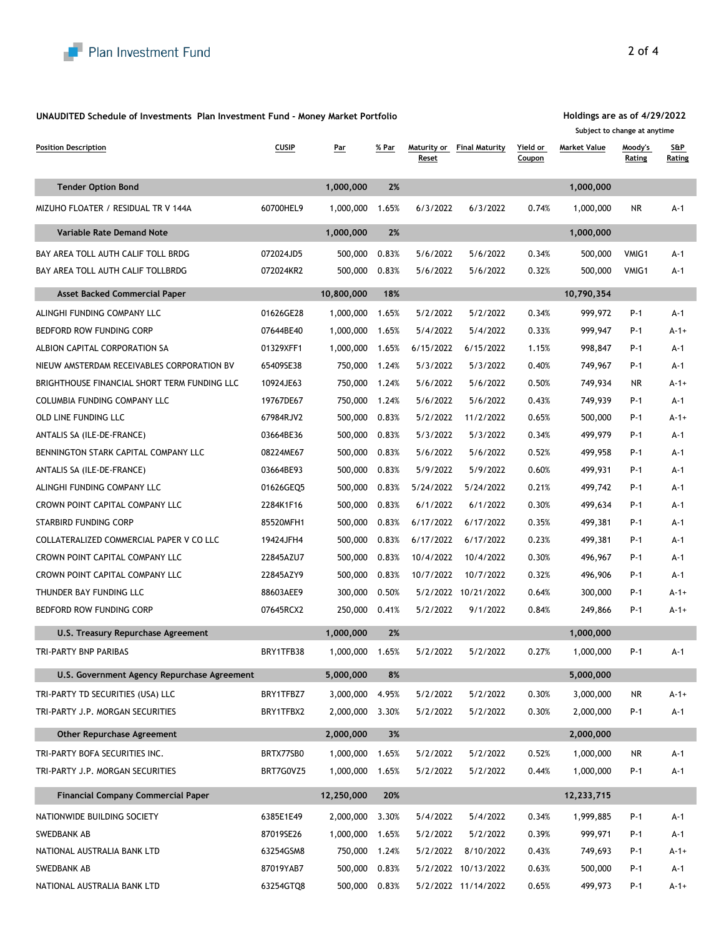

#### **UNAUDITED Schedule of Investments Plan Investment Fund - Money Market Portfolio**

**Position Description CUSIP Par** *Maturity of <b>Par Maturity of Maturity of Par Maturity of Maturity or <i>Maturity* **or** *Maturity* **or** *Maturity* **or** *Maturity* **or** *Maturity* **or** *Maturity* **or** *Maturity* **or** *Maturit* **Reset Maturity or** Final Maturity Yield or **Coupon Market Value Moody's Rating S&P Rating Tender Option Bond 1,000,000 2% 1,000,000** MIZUHO FLOATER / RESIDUAL TR V 144A 60700HEL9 1,000,000 1.65% 6/3/2022 6/3/2022 0.74% 1,000,000 NR A-1 **Variable Rate Demand Note 1,000,000 2% 1,000,000** BAY AREA TOLL AUTH CALIF TOLL BRDG **000 072024JD5** 500,000 0.83% 5/6/2022 5/6/2022 0.34% 500,000 VMIG1 A-1 BAY AREA TOLL AUTH CALIF TOLLBRDG **0000 12024KR2** 500,000 0.83% 5/6/2022 5/6/2022 0.32% 500,000 VMIG1 A-1 **Asset Backed Commercial Paper 10,800,000 18% 10,790,354** ALINGHI FUNDING COMPANY LLC 01626GE28 1,000,000 1.65% 5/2/2022 5/2/2022 0.34% 999,972 P-1 A-1 BEDFORD ROW FUNDING CORP 07644BE40 1,000,000 1.65% 5/4/2022 5/4/2022 0.33% 999,947 P-1 A-1+ ALBION CAPITAL CORPORATION SA 01329XFF1 1,000,000 1.65% 6/15/2022 6/15/2022 1.15% 998,847 P-1 A-1 NIEUW AMSTERDAM RECEIVABLES CORPORATION BV 65409SE38 750,000 1.24% 5/3/2022 5/3/2022 0.40% 749,967 P-1 A-1 BRIGHTHOUSE FINANCIAL SHORT TERM FUNDING LLC 10924JE63 750,000 1.24% 5/6/2022 5/6/2022 0.50% 749,934 NR A-1+ COLUMBIA FUNDING COMPANY LLC 19767DE67 750,000 1.24% 5/6/2022 5/6/2022 0.43% 749,939 P-1 A-1 OLD LINE FUNDING LLC 67984RJV2 500,000 0.83% 5/2/2022 11/2/2022 0.65% 500,000 P-1 A-1+ ANTALIS SA (ILE-DE-FRANCE) 03664BE36 500,000 0.83% 5/3/2022 5/3/2022 0.34% 499,979 P-1 A-1 BENNINGTON STARK CAPITAL COMPANY LLC 08224ME67 500,000 0.83% 5/6/2022 5/6/2022 0.52% 499,958 P-1 A-1 ANTALIS SA (ILE-DE-FRANCE) 03664BE93 500,000 0.83% 5/9/2022 5/9/2022 0.60% 499,931 P-1 A-1 ALINGHI FUNDING COMPANY LLC 01626GEQ5 500,000 0.83% 5/24/2022 5/24/2022 0.21% 499,742 P-1 A-1 CROWN POINT CAPITAL COMPANY LLC 2284K1F16 500,000 0.83% 6/1/2022 6/1/2022 0.30% 499,634 P-1 A-1 STARBIRD FUNDING CORP 85520MFH1 500,000 0.83% 6/17/2022 6/17/2022 0.35% 499,381 P-1 A-1 COLLATERALIZED COMMERCIAL PAPER V CO LLC 19424JFH4 500,000 0.83% 6/17/2022 6/17/2022 0.23% 499,381 P-1 A-1 CROWN POINT CAPITAL COMPANY LLC 22845AZU7 500,000 0.83% 10/4/2022 10/4/2022 0.30% 496,967 P-1 A-1 CROWN POINT CAPITAL COMPANY LLC 22845AZY9 500,000 0.83% 10/7/2022 10/7/2022 0.32% 496,906 P-1 A-1 THUNDER BAY FUNDING LLC 88603AEE9 300,000 0.50% 5/2/2022 10/21/2022 0.64% 300,000 P-1 A-1+ BEDFORD ROW FUNDING CORP 07645RCX2 250,000 0.41% 5/2/2022 9/1/2022 0.84% 249,866 P-1 A-1+ **U.S. Treasury Repurchase Agreement 1,000,000 2% 1,000,000** TRI-PARTY BNP PARIBAS BRY1TFB38 1,000,000 1.65% 5/2/2022 5/2/2022 0.27% 1,000,000 P-1 A-1 **U.S. Government Agency Repurchase Agreement 5,000,000 8% 5,000,000** TRI-PARTY TD SECURITIES (USA) LLC BRY1TFBZ7 3,000,000 4.95% 5/2/2022 5/2/2022 0.30% 3,000,000 NR A-1+ TRI-PARTY J.P. MORGAN SECURITIES BRY1TFBX2 2,000,000 3.30% 5/2/2022 5/2/2022 0.30% 2,000,000 P-1 A-1 **Other Repurchase Agreement 2,000,000 3% 2,000,000** TRI-PARTY BOFA SECURITIES INC. BRTX77SB0 1,000,000 1.65% 5/2/2022 5/2/2022 0.52% 1,000,000 NR A-1 TRI-PARTY J.P. MORGAN SECURITIES BRT7G0VZ5 1,000,000 1.65% 5/2/2022 5/2/2022 0.44% 1,000,000 P-1 A-1 **Financial Company Commercial Paper 12,250,000 20% 12,233,715** NATIONWIDE BUILDING SOCIETY 6385E1E49 2,000,000 3.30% 5/4/2022 5/4/2022 0.34% 1,999,885 P-1 A-1 SWEDBANK AB 87019SE26 1,000,000 1.65% 5/2/2022 5/2/2022 0.39% 999,971 P-1 A-1 NATIONAL AUSTRALIA BANK LTD 63254GSM8 750,000 1.24% 5/2/2022 8/10/2022 0.43% 749,693 P-1 A-1+

SWEDBANK AB 87019YAB7 500,000 0.83% 5/2/2022 10/13/2022 0.63% 500,000 P-1 A-1 NATIONAL AUSTRALIA BANK LTD 63254GTQ8 500,000 0.83% 5/2/2022 11/14/2022 0.65% 499,973 P-1 A-1+

**Holdings are as of 4/29/2022 Subject to change at anytime**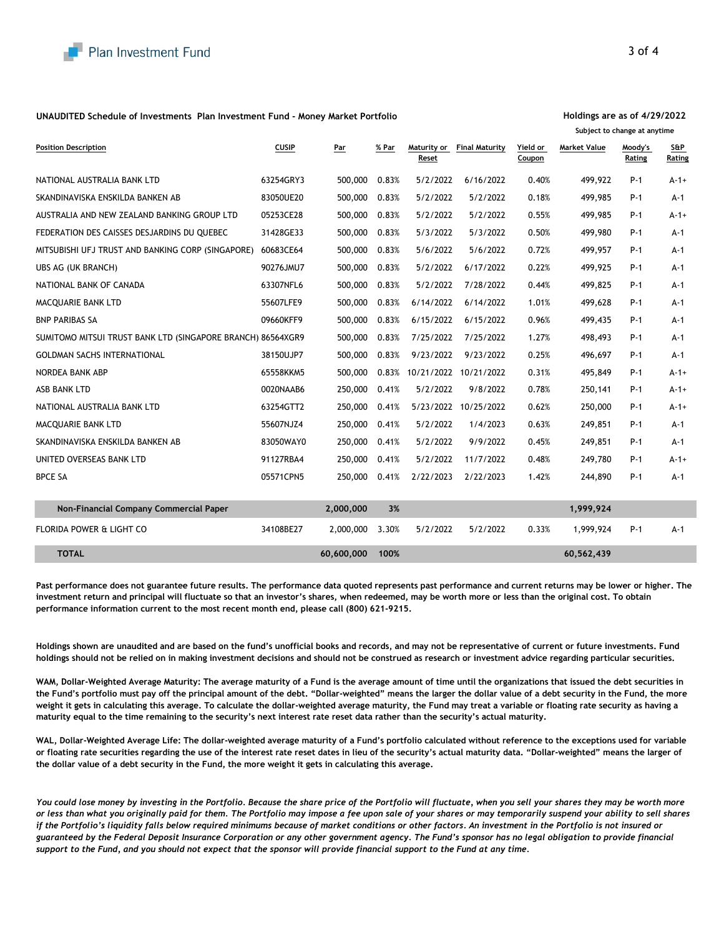

#### **UNAUDITED Schedule of Investments Plan Investment Fund - Money Market Portfolio**

| <b>Position Description</b>                                 | <b>CUSIP</b> | Par        | % Par | Maturity or<br>Reset | <b>Final Maturity</b>       | Yield or<br>Coupon | <b>Market Value</b> | Moody's<br>Rating | S&P<br>Rating |  |
|-------------------------------------------------------------|--------------|------------|-------|----------------------|-----------------------------|--------------------|---------------------|-------------------|---------------|--|
| NATIONAL AUSTRALIA BANK LTD                                 | 63254GRY3    | 500,000    | 0.83% | 5/2/2022             | 6/16/2022                   | 0.40%              | 499,922             | $P-1$             | $A-1+$        |  |
| SKANDINAVISKA ENSKILDA BANKEN AB                            | 83050UE20    | 500,000    | 0.83% | 5/2/2022             | 5/2/2022                    | 0.18%              | 499,985             | $P-1$             | $A-1$         |  |
| AUSTRALIA AND NEW ZEALAND BANKING GROUP LTD                 | 05253CE28    | 500,000    | 0.83% | 5/2/2022             | 5/2/2022                    | 0.55%              | 499,985             | $P-1$             | $A-1+$        |  |
| FEDERATION DES CAISSES DESJARDINS DU QUEBEC                 | 31428GE33    | 500,000    | 0.83% | 5/3/2022             | 5/3/2022                    | 0.50%              | 499,980             | $P-1$             | $A-1$         |  |
| MITSUBISHI UFJ TRUST AND BANKING CORP (SINGAPORE)           | 60683CE64    | 500,000    | 0.83% | 5/6/2022             | 5/6/2022                    | 0.72%              | 499,957             | $P-1$             | $A-1$         |  |
| UBS AG (UK BRANCH)                                          | 90276JMU7    | 500,000    | 0.83% | 5/2/2022             | 6/17/2022                   | 0.22%              | 499,925             | $P-1$             | $A-1$         |  |
| NATIONAL BANK OF CANADA                                     | 63307NFL6    | 500,000    | 0.83% | 5/2/2022             | 7/28/2022                   | 0.44%              | 499,825             | $P-1$             | $A-1$         |  |
| MACQUARIE BANK LTD                                          | 55607LFE9    | 500,000    | 0.83% | 6/14/2022            | 6/14/2022                   | 1.01%              | 499,628             | P-1               | $A-1$         |  |
| <b>BNP PARIBAS SA</b>                                       | 09660KFF9    | 500,000    | 0.83% | 6/15/2022            | 6/15/2022                   | 0.96%              | 499,435             | P-1               | $A-1$         |  |
| SUMITOMO MITSUI TRUST BANK LTD (SINGAPORE BRANCH) 86564XGR9 |              | 500,000    | 0.83% | 7/25/2022            | 7/25/2022                   | 1.27%              | 498,493             | P-1               | $A-1$         |  |
| <b>GOLDMAN SACHS INTERNATIONAL</b>                          | 38150UJP7    | 500,000    | 0.83% | 9/23/2022            | 9/23/2022                   | 0.25%              | 496,697             | $P-1$             | $A-1$         |  |
| NORDEA BANK ABP                                             | 65558KKM5    | 500,000    |       |                      | 0.83% 10/21/2022 10/21/2022 | 0.31%              | 495,849             | $P-1$             | $A-1+$        |  |
| ASB BANK LTD                                                | 0020NAAB6    | 250,000    | 0.41% | 5/2/2022             | 9/8/2022                    | 0.78%              | 250,141             | P-1               | $A-1+$        |  |
| NATIONAL AUSTRALIA BANK LTD                                 | 63254GTT2    | 250,000    | 0.41% |                      | 5/23/2022 10/25/2022        | 0.62%              | 250,000             | P-1               | $A-1+$        |  |
| MACQUARIE BANK LTD                                          | 55607NJZ4    | 250,000    | 0.41% | 5/2/2022             | 1/4/2023                    | 0.63%              | 249,851             | P-1               | $A-1$         |  |
| SKANDINAVISKA ENSKILDA BANKEN AB                            | 83050WAY0    | 250,000    | 0.41% | 5/2/2022             | 9/9/2022                    | 0.45%              | 249,851             | P-1               | A-1           |  |
| UNITED OVERSEAS BANK LTD                                    | 91127RBA4    | 250,000    | 0.41% | 5/2/2022             | 11/7/2022                   | 0.48%              | 249,780             | P-1               | $A-1+$        |  |
| <b>BPCE SA</b>                                              | 05571CPN5    | 250,000    | 0.41% | 2/22/2023            | 2/22/2023                   | 1.42%              | 244,890             | P-1               | A-1           |  |
| Non-Financial Company Commercial Paper                      |              | 2,000,000  | 3%    |                      |                             |                    | 1,999,924           |                   |               |  |
| FLORIDA POWER & LIGHT CO                                    | 34108BE27    | 2,000,000  | 3.30% | 5/2/2022             | 5/2/2022                    | 0.33%              | 1,999,924           | $P-1$             | $A-1$         |  |
| <b>TOTAL</b>                                                |              | 60,600,000 | 100%  |                      |                             |                    | 60,562,439          |                   |               |  |

**Past performance does not guarantee future results. The performance data quoted represents past performance and current returns may be lower or higher. The investment return and principal will fluctuate so that an investor's shares, when redeemed, may be worth more or less than the original cost. To obtain performance information current to the most recent month end, please call (800) 621-9215.**

**Holdings shown are unaudited and are based on the fund's unofficial books and records, and may not be representative of current or future investments. Fund holdings should not be relied on in making investment decisions and should not be construed as research or investment advice regarding particular securities.**

WAM, Dollar-Weighted Average Maturity: The average maturity of a Fund is the average amount of time until the organizations that issued the debt securities in **the Fund's portfolio must pay off the principal amount of the debt. "Dollar-weighted" means the larger the dollar value of a debt security in the Fund, the more weight it gets in calculating this average. To calculate the dollar-weighted average maturity, the Fund may treat a variable or floating rate security as having a maturity equal to the time remaining to the security's next interest rate reset data rather than the security's actual maturity.**

WAL, Dollar-Weighted Average Life: The dollar-weighted average maturity of a Fund's portfolio calculated without reference to the exceptions used for variable **or floating rate securities regarding the use of the interest rate reset dates in lieu of the security's actual maturity data. "Dollar-weighted" means the larger of the dollar value of a debt security in the Fund, the more weight it gets in calculating this average.** 

*You could lose money by investing in the Portfolio. Because the share price of the Portfolio will fluctuate, when you sell your shares they may be worth more or less than what you originally paid for them. The Portfolio may impose a fee upon sale of your shares or may temporarily suspend your ability to sell shares if the Portfolio's liquidity falls below required minimums because of market conditions or other factors. An investment in the Portfolio is not insured or guaranteed by the Federal Deposit Insurance Corporation or any other government agency. The Fund's sponsor has no legal obligation to provide financial support to the Fund, and you should not expect that the sponsor will provide financial support to the Fund at any time.*

#### **Holdings are as of 4/29/2022 Subject to change at anytime**